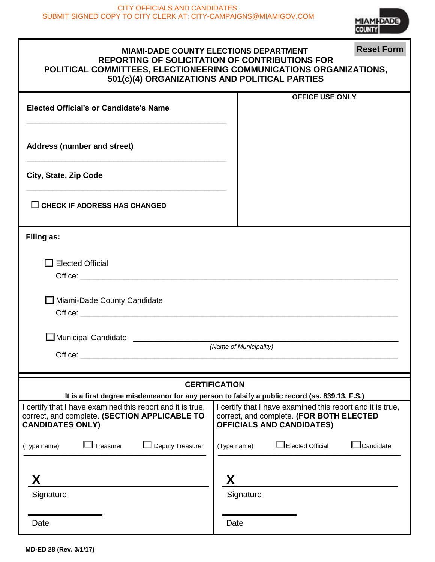

| <b>Reset Form</b><br><b>MIAMI-DADE COUNTY ELECTIONS DEPARTMENT</b><br><b>REPORTING OF SOLICITATION OF CONTRIBUTIONS FOR</b><br>POLITICAL COMMITTEES, ELECTIONEERING COMMUNICATIONS ORGANIZATIONS,<br>501(c)(4) ORGANIZATIONS AND POLITICAL PARTIES                                                                                                                                    |                                                                                |  |  |  |  |  |
|---------------------------------------------------------------------------------------------------------------------------------------------------------------------------------------------------------------------------------------------------------------------------------------------------------------------------------------------------------------------------------------|--------------------------------------------------------------------------------|--|--|--|--|--|
| <b>Elected Official's or Candidate's Name</b>                                                                                                                                                                                                                                                                                                                                         | <b>OFFICE USE ONLY</b>                                                         |  |  |  |  |  |
| <b>Address (number and street)</b>                                                                                                                                                                                                                                                                                                                                                    |                                                                                |  |  |  |  |  |
| City, State, Zip Code                                                                                                                                                                                                                                                                                                                                                                 |                                                                                |  |  |  |  |  |
| $\Box$ CHECK IF ADDRESS HAS CHANGED                                                                                                                                                                                                                                                                                                                                                   |                                                                                |  |  |  |  |  |
| Filing as:                                                                                                                                                                                                                                                                                                                                                                            |                                                                                |  |  |  |  |  |
| <b>Elected Official</b>                                                                                                                                                                                                                                                                                                                                                               |                                                                                |  |  |  |  |  |
| □ Miami-Dade County Candidate                                                                                                                                                                                                                                                                                                                                                         |                                                                                |  |  |  |  |  |
|                                                                                                                                                                                                                                                                                                                                                                                       |                                                                                |  |  |  |  |  |
| (Name of Municipality)                                                                                                                                                                                                                                                                                                                                                                |                                                                                |  |  |  |  |  |
|                                                                                                                                                                                                                                                                                                                                                                                       | <b>CERTIFICATION</b>                                                           |  |  |  |  |  |
| It is a first degree misdemeanor for any person to falsify a public record (ss. 839.13, F.S.)<br>I certify that I have examined this report and it is true,<br>I certify that I have examined this report and it is true,<br>correct, and complete. (SECTION APPLICABLE TO<br>correct, and complete. (FOR BOTH ELECTED<br><b>OFFICIALS AND CANDIDATES)</b><br><b>CANDIDATES ONLY)</b> |                                                                                |  |  |  |  |  |
| Treasurer<br>$\Box$ Deputy Treasurer<br>(Type name)                                                                                                                                                                                                                                                                                                                                   | Elected Official<br>$\mathsf{\mathsf{\underline{I}}}$ Candidate<br>(Type name) |  |  |  |  |  |
| Signature                                                                                                                                                                                                                                                                                                                                                                             | Χ<br>Signature                                                                 |  |  |  |  |  |
| Date                                                                                                                                                                                                                                                                                                                                                                                  | Date                                                                           |  |  |  |  |  |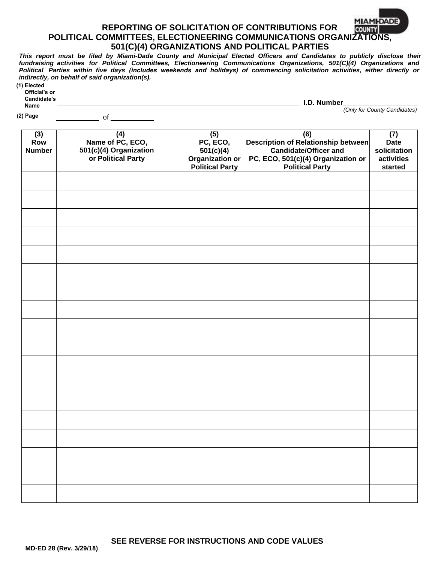## **MIAMI-DADE REPORTING OF SOLICITATION OF CONTRIBUTIONS FOR COUNTY POLITICAL COMMITTEES, ELECTIONEERING COMMUNICATIONS ORGANIZATIONS, 501(C)(4) ORGANIZATIONS AND POLITICAL PARTIES**

*This report must be filed by Miami-Dade County and Municipal Elected Officers and Candidates to publicly disclose their fundraising activities for Political Committees, Electioneering Communications Organizations, 501(C)(4) Organizations and Political Parties within five days (includes weekends and holidays) of commencing solicitation activities, either directly or indirectly, on behalf of said organization(s).*  **(1) Elected**

| , | Litutu        |
|---|---------------|
|   | Official's or |
|   | Candidate's   |
|   | Name          |

 $\overline{\phantom{a}}$  of  $\overline{\phantom{a}}$ 

**I.D. Number**

 *(Only for County Candidates)*

**(2) Page**

| (3)<br>Row<br><b>Number</b> | (4)<br>Name of PC, ECO,<br>501(c)(4) Organization<br>or Political Party | (5)<br>PC, ECO,<br>501(c)(4)<br><b>Organization or</b><br><b>Political Party</b> | (6)<br>Description of Relationship between<br><b>Candidate/Officer and</b><br>PC, ECO, 501(c)(4) Organization or<br><b>Political Party</b> | (7)<br><b>Date</b><br>solicitation<br>activities<br>started |
|-----------------------------|-------------------------------------------------------------------------|----------------------------------------------------------------------------------|--------------------------------------------------------------------------------------------------------------------------------------------|-------------------------------------------------------------|
|                             |                                                                         |                                                                                  |                                                                                                                                            |                                                             |
|                             |                                                                         |                                                                                  |                                                                                                                                            |                                                             |
|                             |                                                                         |                                                                                  |                                                                                                                                            |                                                             |
|                             |                                                                         |                                                                                  |                                                                                                                                            |                                                             |
|                             |                                                                         |                                                                                  |                                                                                                                                            |                                                             |
|                             |                                                                         |                                                                                  |                                                                                                                                            |                                                             |
|                             |                                                                         |                                                                                  |                                                                                                                                            |                                                             |
|                             |                                                                         |                                                                                  |                                                                                                                                            |                                                             |
|                             |                                                                         |                                                                                  |                                                                                                                                            |                                                             |
|                             |                                                                         |                                                                                  |                                                                                                                                            |                                                             |
|                             |                                                                         |                                                                                  |                                                                                                                                            |                                                             |
|                             |                                                                         |                                                                                  |                                                                                                                                            |                                                             |
|                             |                                                                         |                                                                                  |                                                                                                                                            |                                                             |
|                             |                                                                         |                                                                                  |                                                                                                                                            |                                                             |
|                             |                                                                         |                                                                                  |                                                                                                                                            |                                                             |
|                             |                                                                         |                                                                                  |                                                                                                                                            |                                                             |
|                             |                                                                         |                                                                                  |                                                                                                                                            |                                                             |
|                             |                                                                         |                                                                                  |                                                                                                                                            |                                                             |